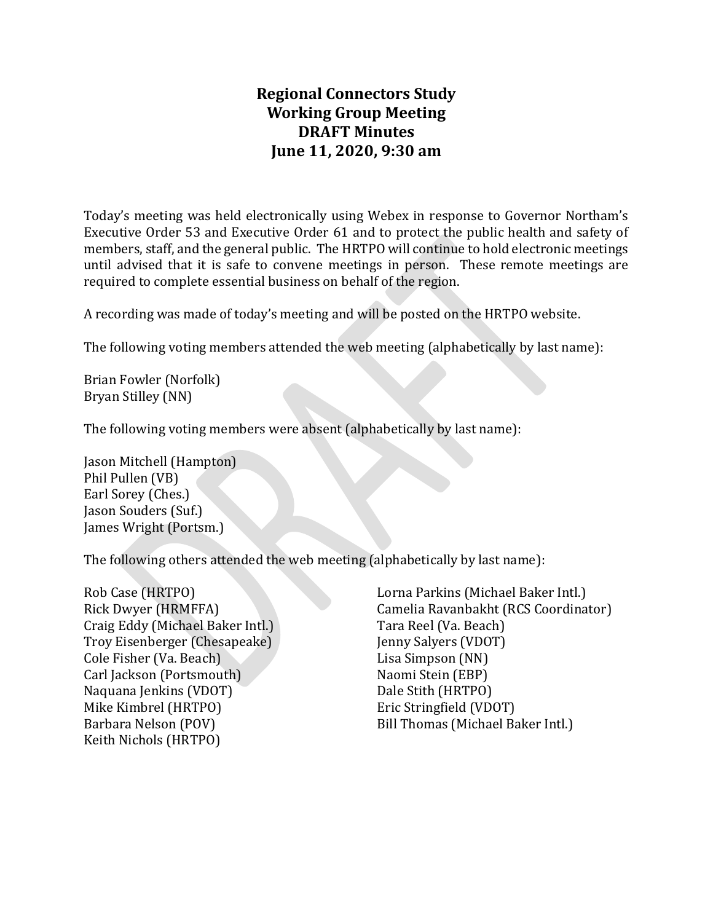# **Regional Connectors Study Working Group Meeting DRAFT Minutes June 11, 2020, 9:30 am**

Today's meeting was held electronically using Webex in response to Governor Northam's Executive Order 53 and Executive Order 61 and to protect the public health and safety of members, staff, and the general public. The HRTPO will continue to hold electronic meetings until advised that it is safe to convene meetings in person. These remote meetings are required to complete essential business on behalf of the region.

A recording was made of today's meeting and will be posted on the HRTPO website.

The following voting members attended the web meeting (alphabetically by last name):

Brian Fowler (Norfolk) Bryan Stilley (NN)

The following voting members were absent (alphabetically by last name):

Jason Mitchell (Hampton) Phil Pullen (VB) Earl Sorey (Ches.) Jason Souders (Suf.) James Wright (Portsm.)

The following others attended the web meeting (alphabetically by last name):

Rob Case (HRTPO) Rick Dwyer (HRMFFA) Craig Eddy (Michael Baker Intl.) Troy Eisenberger (Chesapeake) Cole Fisher (Va. Beach) Carl Jackson (Portsmouth) Naquana Jenkins (VDOT) Mike Kimbrel (HRTPO) Barbara Nelson (POV) Keith Nichols (HRTPO)

Lorna Parkins (Michael Baker Intl.) Camelia Ravanbakht (RCS Coordinator) Tara Reel (Va. Beach) Jenny Salyers (VDOT) Lisa Simpson (NN) Naomi Stein (EBP) Dale Stith (HRTPO) Eric Stringfield (VDOT) Bill Thomas (Michael Baker Intl.)